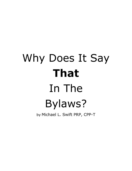# Why Does It Say **That** In The Bylaws? by Michael L. Swift PRP, CPP-T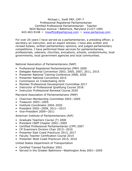Michael L. Swift PRP, CPP–T Professional Registered Parliamentarian Certified Professional Parliamentarian - Teacher 3654 Benson Avenue • Baltimore, Maryland 21227-1005 443-463-9148 • mswiftrp@parligroup.com • www.parligroup.com

For over 20 years I have served as a parliamentarian, a presiding officer, a secretary an instructor, and an expert witness. I have also written and revised bylaws, written parliamentary opinions, and judged parliamentary competitions. I have performed these services for parliamentarians, professionals, veterans, churches, avocations, schools, condominiums, local governments, local government agencies and local communities.

National Association of Parliamentarians (NAP)

- Professional Registered Parliamentarian (PRP) 2000
- Delegate National Convention 2003, 2005, 2007, 2011, 2015
- Presenter National Training Conference 2008, 2020
- Presenter National Convention 2015
- Commission on Credentialing 2016
- Member Professional Development Committee 2017
- Instructor of Professional Qualifying Course 2018
- Instructor Professional Renewal Course 2020

Maryland Association of Parliamentarians (MAP)

- Chairman Membership Committee 2003—2005
- Treasurer 2003—2005
- Institute Coordinator 2004–2020
- President 2005—2009, 2011—2013
- Vice-President 2009—2011

American Institute of Parliamentarians (AIP)

- Graduate Teachers Course (T) 2000
- President C&PP Chapter 2002—2005
- Certified Professional Parliamentarian (CPP) 2007
- CP Examiners Division Chair 2013-2016
- Presenter East Coast Practicum 2013, 2017
- Faculty Teacher Certification Course 2015
- Presenter West Coast Practicum 2015, 2016

United States Department of Transportation

- Certified Trained Facilitator 2001
- Served in the Greater Baltimore—Washington Area 2001—2005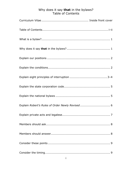# Why does it say **that** in the bylaws? Table of Contents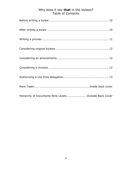# Why does it say **that** in the bylaws? Table of Contents

| Hierarchy of Documents Nine Levels Outside Back Cover |
|-------------------------------------------------------|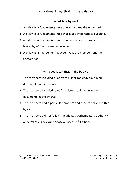#### **What is a bylaw?**

- 1 A bylaw is a fundamental rule that structures the organization.
- 2 A bylaw is a fundamental rule that is too important to suspend.
- 3 A bylaw is a fundamental rule of a certain level, rank, in the hierarchy of the governing documents.
- 4 A bylaw is an agreement between you, the member, and the Corporation.

Why does it say **that** in the bylaws?

- 1 The members included rules from higher ranking, governing documents in the bylaws.
- 2 The members included rules from lower ranking governing documents in the bylaws.
- 3 The members had a particular problem and tried to solve it with a bylaw.
- 4 The members did not follow the adopted parliamentary authority *Robert's Rules of Order Newly Revised* 11<sup>th</sup> Edition.

1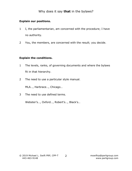#### **Explain our positions.**

- 1 I, the parliamentarian, am concerned with the procedure; I have no authority.
- 2 You, the members, are concerned with the result; you decide.

#### **Explain the conditions.**

1 The levels, ranks, of governing documents and where the bylaws fit in that hierarchy.

2

2 The need to use a particular style manual.

MLA…, Harbrace…, Chicago…

3 The need to use defined terms.

Webster's…, Oxford…, Robert's…, Black's…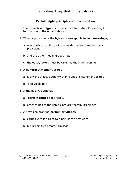### **Explain eight principles of interpretation.**

- 1 If a bylaw is **ambiguous**, it must be interpreted, if possible, in harmony with the other bylaws.
- 2 When a provision of the bylaws is susceptible to **two meanings**,
	- a one of which conflicts with or renders absurd another bylaw provision,
	- b and the other meaning does not,
	- c the other, latter, must be taken as the true meaning.

#### 3 A **general statement** or rule

- a is always of less authority than a specific statement or rule
- b and yields to it.
- 4 If the bylaws authorize
	- a **certain things** specifically,
	- b other things of the same class are thereby prohibited.

3

#### 5 A provision granting **certain privileges**

- a carries with it a right to a part of the privileges,
- b but prohibits a greater privilege.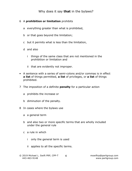#### 6 A **prohibition or limitation** prohibits

- a everything greater than what is prohibited,
- b or that goes beyond the limitation;
- c but it permits what is less than the limitation,
- d and also
	- i things of the same class that are not mentioned in the prohibition or limitation and
	- ii that are evidently not improper.
- A sentence with a series of semi-colons and/or commas is in effect **a list** of things permitted, **a list** of privileges, or **a list** of things prohibited.
- 7 The imposition of a definite **penalty** for a particular action
	- a prohibits the increase or
	- b diminution of the penalty.
- 8 In cases where the bylaws use
	- a a general term
	- b and also two or more specific terms that are wholly included under the general rule
	- c a rule in which
		- i only the general term is used
		- ii applies to all the specific terms.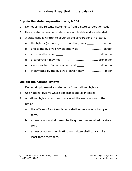#### **Explain the state corporation code, MCCA.**

- 1 Do not simply re-write statements from a state corporation code.
- 2 Use a state corporation code where applicable and as intended.
- 3 A state code is written to cover all the corporations in a state.
	- a the bylaws (or board, or corporation) may  $\ldots$ ......... option
	- b unless the bylaws provide otherwise ..................... default
	- c a corporation shall \_\_\_\_ ........................................ directive
	- d a corporation may not \_\_\_\_................................ prohibition
	- e each director of a corporation shall **container the same of the container**
	- f if permitted by the bylaws a person may \_\_\_\_ ............ option

#### **Explain the national bylaws.**

- 1 Do not simply re-write statements from national bylaws.
- 2 Use national bylaws where applicable and as intended.
- 3 A national bylaw is written to cover all the Associations in the nation.
	- a the officers of an Associations shall serve a one or two year term…
	- b an Association shall prescribe its quorum as required by state law…
	- c an Association's nominating committee shall consist of at least three members…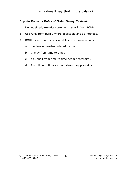### **Explain Robert's** *Rules of Order Newly Revised.*

- 1 Do not simply re-write statements at will from RONR.
- 2 Use rules from RONR where applicable and as intended.
- 3 RONR is written to cover all deliberative associations.
	- a …unless otherwise ordered by the…
	- b … may from time to time…
	- c as… shall from time to time deem necessary…
	- d from time to time as the bylaws may prescribe.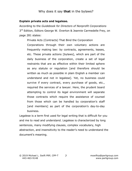#### **Explain private acts and legalese.**

According to the *Guidebook for Directors of Nonprofit Corporations* 3<sup>rd</sup> Edition, Editors George W. Overton & Jeannie Carmedelle Frey, on page 281 states:

Private Acts (Contracts) That Bind the Corporation Corporations through their own voluntary actions are frequently making law: by contracts, agreements, leases, etc. These private actions [bylaws], which are part of the daily business of the corporation, create a set of legal restraints that are as effective within their limited sphere as any statute or regulation [and therefore should be written as much as possible in plain English a member can understand and not in legalese]. Yet, no business could survive if every contract, every purchase of goods, etc., required the services of a lawyer. Here, the prudent board attempting to control its legal environment will separate those contracts which require the assistance of counsel from those which can be handled by corporation's staff [and members] as part of the corporation's day-to-day business.

Legalese is a term first used for legal writing that is difficult for you and me to read and understand. Legalese is characterized by long sentences, many modifying clauses, complex vocabulary, high abstraction, and insensitivity to the reader's need to understand the document's meaning.

7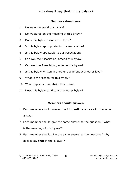#### **Members should ask.**

- Do we understand this bylaw?
- Do we agree on the meaning of this bylaw?
- Does this bylaw make sense to us?
- Is this bylaw appropriate for our Association?
- Is this bylaw applicable to our Association?
- Can we, the Association, amend this bylaw?
- Can we, the Association, enforce this bylaw?
- Is this bylaw written in another document at another level?
- What is the reason for this bylaw?
- What happens if we strike this bylaw?
- Does this bylaw conflict with another bylaw?

#### **Members should answer.**

- Each member should answer the 11 questions above with the same answer.
- Each member should give the same answer to the question, "What is the meaning of this bylaw"?
- Each member should give the same answer to the question, "Why does it say **that** in the bylaws"?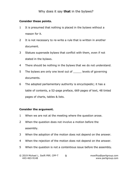## **Consider these points.**

- 1 It is presumed that nothing is placed in the bylaws without a reason for it.
- 2 It is not necessary to re-write a rule that is written in another document.
- 3 Statues supersede bylaws that conflict with them, even if not stated in the bylaws.
- 4 There should be nothing in the bylaws that we do not understand.
- 5 The bylaws are only one level out of elevels of governing documents.
- 6 The adopted parliamentary authority is encyclopedic; it has a table of contents, a 52-page preface, 669 pages of text, 48 tinted pages of charts, tables & lists.

## **Consider the argument.**

- 1 When we are not at the meeting where the question arose.
- 2 When the question does not involve a motion before the assembly.
- 3 When the adoption of the motion does not depend on the answer.
- 4 When the rejection of the motion does not depend on the answer.
- 5 When the question is not a contentious issue before the assembly.

9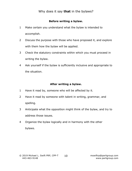## **Before writing a bylaw.**

- 1 Make certain you understand what the bylaw is intended to accomplish.
- 2 Discuss the purpose with those who have proposed it, and explore with them how the bylaw will be applied.
- 3 Check the statutory constraints within which you must proceed in writing the bylaw.
- 4 Ask yourself if the bylaw is sufficiently inclusive and appropriate to the situation.

## **After writing a bylaw.**

- 1 Have it read by, someone who will be affected by it.
- 2 Have it read by someone with talent in writing, grammar, and spelling.
- 3 Anticipate what the opposition might think of the bylaw, and try to address those issues.
- 4 Organize the bylaw logically and in harmony with the other bylaws.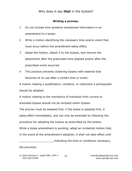#### **Writing a proviso.**

- 1 Do not include time sensitive transitional information in an amendment to a bylaw.
- 2 Write a motion identifying the necessary time and/or event that must occur before the amendment takes effect.
- 3 Adopt the motion, attach it to the bylaws, and remove the attachment after the prescribed time elapsed and/or after the prescribed event occurred.
- 4 This practice prevents cluttering bylaws with material that becomes of no use after a certain time or event.

A motion making a qualification, condition, or restriction a prerequisite should be adopted.

A motion relating to the mechanics of transition from current to amended bylaws should not be included within bylaws.

The proviso must be adopted first; if the bylaw is adopted first, it takes effect immediately, and can only be amended by following the procedure for adopting the bylaws as prescribed by the bylaws. While a bylaw amendment is pending, adopt an incidental motion that, in the event of the amendment's adoption, it shall not take effect until \_\_\_\_\_\_\_\_\_\_\_\_\_\_\_\_\_\_\_\_, indicating the time or conditions necessary,

the provision.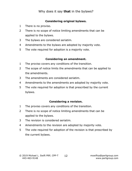## **Considering original bylaws.**

- 1 There is no proviso.
- 2 There is no scope of notice limiting amendments that can be applied to the bylaws.
- 3 The bylaws are considered seriatim.
- 4 Amendments to the bylaws are adopted by majority vote.
- 5 The vote required for adoption is a majority vote.

#### **Considering an amendment.**

- 1 The proviso covers any conditions of the transition.
- 2 The scope of notice limits the amendments that can be applied to the amendments.
- 3 The amendments are considered seriatim.
- 4 Amendments to the amendments are adopted by majority vote.
- 5 The vote required for adoption is that prescribed by the current bylaws.

## **Considering a revision.**

- 1 The proviso covers any conditions of the transition.
- 2 There is no scope of notice limiting amendments that can be applied to the bylaws.
- 3 The revision is considered seriatim.
- 4 Amendments to the revision are adopted by majority vote.
- 5 The vote required for adoption of the revision is that prescribed by the current bylaws.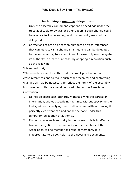## **Authorizing a one time delegation…**

- 1 Only the assembly can amend captions or headings under the rules applicable to bylaws or other papers if such change could have any effect on meaning, and this authority may not be delegated.
- 2 Corrections of article or section numbers or cross-references that cannot result in a change in a meaning can be delegated to the secretary or, to a committee. An assembly may delegate its authority in a particular case, by adopting a resolution such as the following.

It is moved that,

"The secretary shall be authorized to correct punctuation, and cross-references and to make such other technical and conforming changes as may be necessary to reflect the intent of the assembly in connection with the amendments adopted at the Association Convention."

- 1 Do not delegate such authority without giving the particular information, without specifying the time, without specifying the limits, without specifying the conditions, and without making it perfectly clear what can and cannot be done under this temporary delegation of authority.
- 2 Do not include such authority in the bylaws; this is in effect a blanket delegation of the authority of the members of the Association to one member or group of members. It is inappropriate to do so. Refer to the governing documents.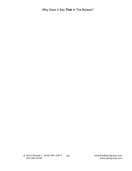Why Does It Say **That** In The Bylaws?

© 2019 Michael L. Swift PRP, CPP-T mswiftrp@parligroup.com 14443-463-9148 www.parligroup.com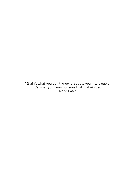"It ain't what you don't know that gets you into trouble. It's what you know for sure that just ain't so. Mark Twain